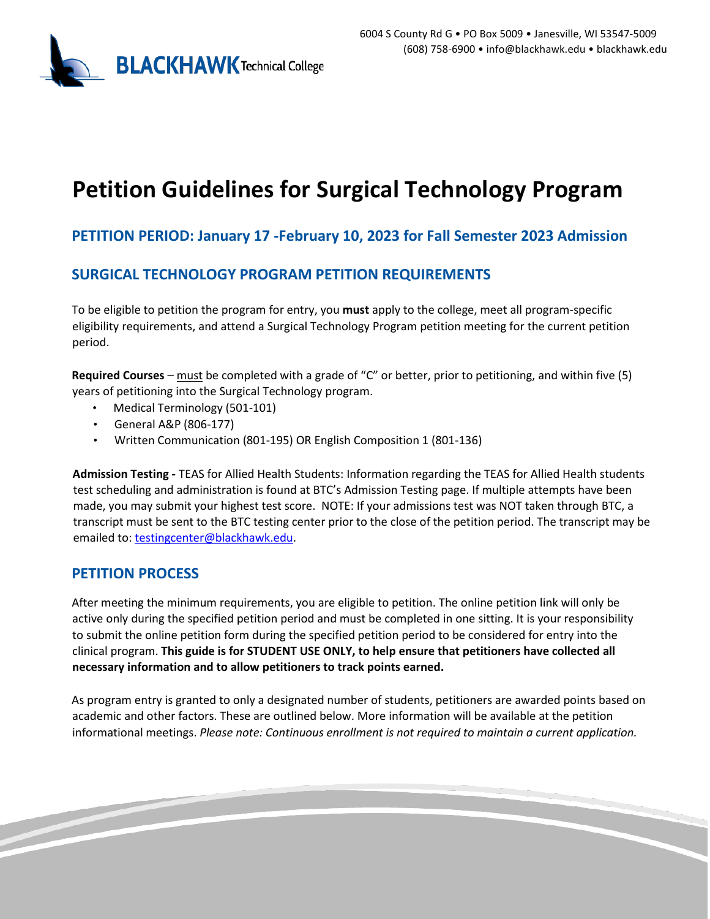

# **Petition Guidelines for Surgical Technology Program**

## **PETITION PERIOD: January 17 -February 10, 2023 for Fall Semester 2023 Admission**

## **SURGICAL TECHNOLOGY PROGRAM PETITION REQUIREMENTS**

To be eligible to petition the program for entry, you **must** apply to the college, meet all program-specific eligibility requirements, and attend a Surgical Technology Program petition meeting for the current petition period.

**Required Courses** – must be completed with a grade of "C" or better, prior to petitioning, and within five (5) years of petitioning into the Surgical Technology program.

- Medical Terminology (501-101)
- General A&P (806-177)
- Written Communication (801-195) OR English Composition 1 (801-136)

**Admission Testing -** TEAS for Allied Health Students: Information regarding the TEAS for Allied Health students test scheduling and administration is found at BTC's Admission Testing page. If multiple attempts have been made, you may submit your highest test score. NOTE: If your admissions test was NOT taken through BTC, a transcript must be sent to the BTC testing center prior to the close of the petition period. The transcript may be emailed to: testingcenter@blackhawk.edu.

### **PETITION PROCESS**

After meeting the minimum requirements, you are eligible to petition. The online petition link will only be active only during the specified petition period and must be completed in one sitting. It is your responsibility to submit the online petition form during the specified petition period to be considered for entry into the clinical program. **This guide is for STUDENT USE ONLY, to help ensure that petitioners have collected all necessary information and to allow petitioners to track points earned.**

As program entry is granted to only a designated number of students, petitioners are awarded points based on academic and other factors. These are outlined below. More information will be available at the petition informational meetings. *Please note: Continuous enrollment is not required to maintain a current application.*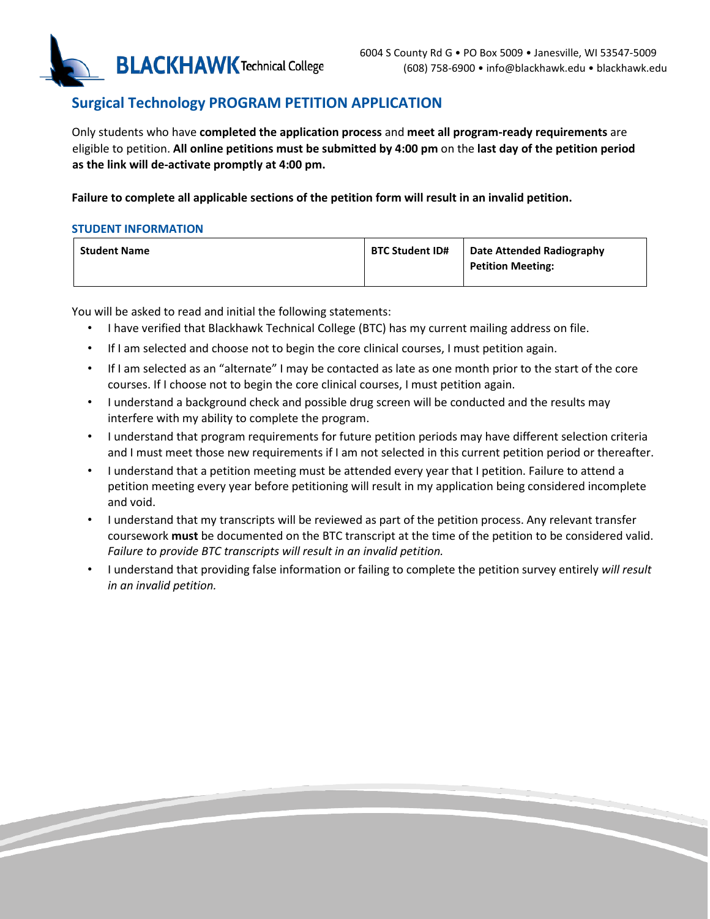

## **Surgical Technology PROGRAM PETITION APPLICATION**

Only students who have **completed the application process** and **meet all program-ready requirements** are eligible to petition. **All online petitions must be submitted by 4:00 pm** on the **last day of the petition period as the link will de-activate promptly at 4:00 pm.** 

**Failure to complete all applicable sections of the petition form will result in an invalid petition.** 

#### **STUDENT INFORMATION**

| <b>Student Name</b> | <b>BTC Student ID#</b> | <b>Date Attended Radiography</b> |
|---------------------|------------------------|----------------------------------|
|                     |                        | <b>Petition Meeting:</b>         |
|                     |                        |                                  |

You will be asked to read and initial the following statements:

- I have verified that Blackhawk Technical College (BTC) has my current mailing address on file.
- If I am selected and choose not to begin the core clinical courses, I must petition again.
- If I am selected as an "alternate" I may be contacted as late as one month prior to the start of the core courses. If I choose not to begin the core clinical courses, I must petition again.
- I understand a background check and possible drug screen will be conducted and the results may interfere with my ability to complete the program.
- I understand that program requirements for future petition periods may have different selection criteria and I must meet those new requirements if I am not selected in this current petition period or thereafter.
- I understand that a petition meeting must be attended every year that I petition. Failure to attend a petition meeting every year before petitioning will result in my application being considered incomplete and void.
- I understand that my transcripts will be reviewed as part of the petition process. Any relevant transfer coursework **must** be documented on the BTC transcript at the time of the petition to be considered valid. *Failure to provide BTC transcripts will result in an invalid petition.*
- I understand that providing false information or failing to complete the petition survey entirely *will result in an invalid petition.*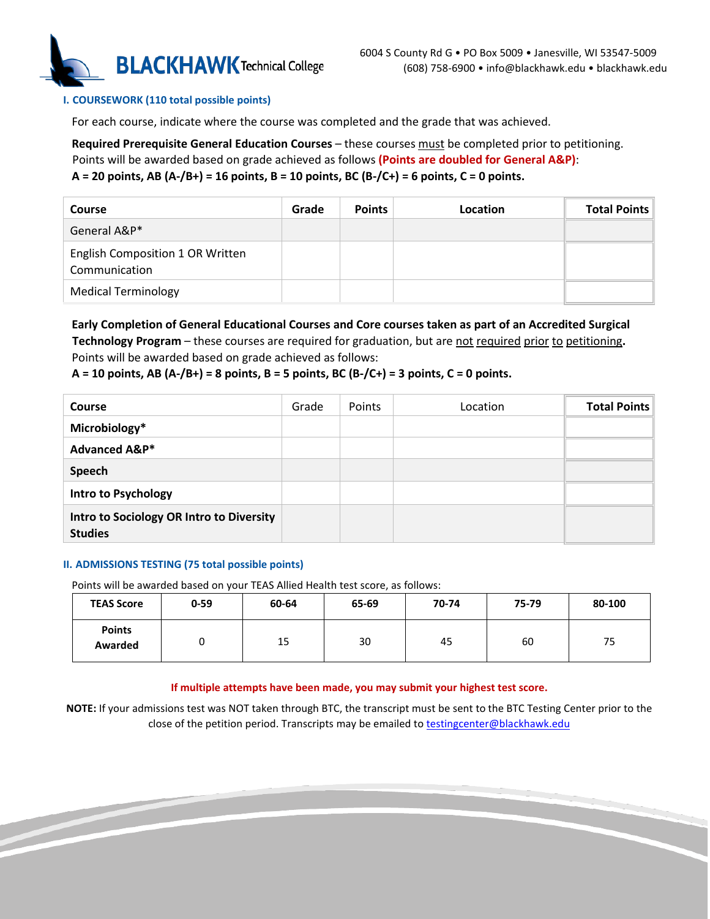

#### **I. COURSEWORK (110 total possible points)**

For each course, indicate where the course was completed and the grade that was achieved.

**Required Prerequisite General Education Courses** – these courses must be completed prior to petitioning.

Points will be awarded based on grade achieved as follows **(Points are doubled for General A&P)**:

#### **A = 20 points, AB (A-/B+) = 16 points, B = 10 points, BC (B-/C+) = 6 points, C = 0 points.**

| Course                                            | Grade | <b>Points</b> | Location | <b>Total Points</b> |
|---------------------------------------------------|-------|---------------|----------|---------------------|
| General A&P*                                      |       |               |          |                     |
| English Composition 1 OR Written<br>Communication |       |               |          |                     |
| <b>Medical Terminology</b>                        |       |               |          |                     |

**Early Completion of General Educational Courses and Core courses taken as part of an Accredited Surgical Technology Program** – these courses are required for graduation, but are not required prior to petitioning**.**  Points will be awarded based on grade achieved as follows:

#### **A = 10 points, AB (A-/B+) = 8 points, B = 5 points, BC (B-/C+) = 3 points, C = 0 points.**

| <b>Course</b>                                              | Grade | Points | Location | <b>Total Points</b> |
|------------------------------------------------------------|-------|--------|----------|---------------------|
| Microbiology*                                              |       |        |          |                     |
| <b>Advanced A&amp;P*</b>                                   |       |        |          |                     |
| Speech                                                     |       |        |          |                     |
| <b>Intro to Psychology</b>                                 |       |        |          |                     |
| Intro to Sociology OR Intro to Diversity<br><b>Studies</b> |       |        |          |                     |

#### **II. ADMISSIONS TESTING (75 total possible points)**

Points will be awarded based on your TEAS Allied Health test score, as follows:

| <b>TEAS Score</b>        | $0 - 59$ | 60-64 | 65-69 | 70-74 | 75-79 | 80-100 |
|--------------------------|----------|-------|-------|-------|-------|--------|
| <b>Points</b><br>Awarded |          | 15    | 30    | 45    | 60    | 75     |

#### **If multiple attempts have been made, you may submit your highest test score.**

**NOTE:** If your admissions test was NOT taken through BTC, the transcript must be sent to the BTC Testing Center prior to the close of the petition period. Transcripts may be emailed to testingcenter@blackhawk.edu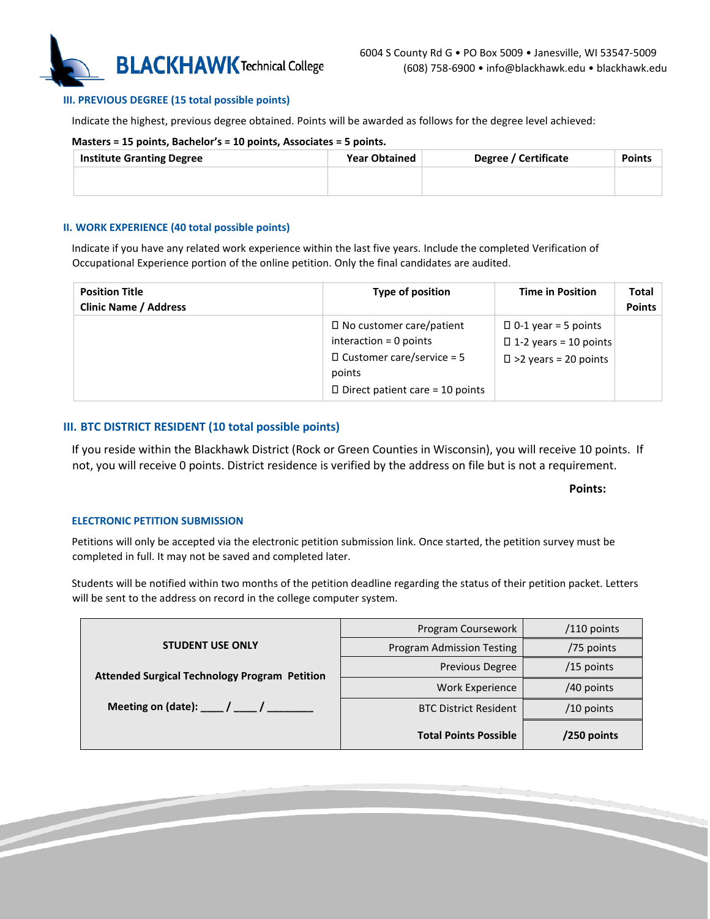

#### **III. PREVIOUS DEGREE (15 total possible points)**

Indicate the highest, previous degree obtained. Points will be awarded as follows for the degree level achieved:

#### **Masters = 15 points, Bachelor's = 10 points, Associates = 5 points.**

| <b>Institute Granting Degree</b> | <b>Year Obtained</b> | Degree / Certificate | <b>Points</b> |
|----------------------------------|----------------------|----------------------|---------------|
|                                  |                      |                      |               |

#### **II. WORK EXPERIENCE (40 total possible points)**

Indicate if you have any related work experience within the last five years. Include the completed Verification of Occupational Experience portion of the online petition. Only the final candidates are audited.

| <b>Position Title</b><br><b>Clinic Name / Address</b> | Type of position                                                                                                                                    | <b>Time in Position</b>                                                                      | Total<br><b>Points</b> |
|-------------------------------------------------------|-----------------------------------------------------------------------------------------------------------------------------------------------------|----------------------------------------------------------------------------------------------|------------------------|
|                                                       | $\Box$ No customer care/patient<br>interaction $= 0$ points<br>$\Box$ Customer care/service = 5<br>points<br>$\Box$ Direct patient care = 10 points | $\Box$ 0-1 year = 5 points<br>$\Box$ 1-2 years = 10 points<br>$\square$ >2 years = 20 points |                        |

#### **III. BTC DISTRICT RESIDENT (10 total possible points)**

If you reside within the Blackhawk District (Rock or Green Counties in Wisconsin), you will receive 10 points. If not, you will receive 0 points. District residence is verified by the address on file but is not a requirement.

#### **Points:**

#### **ELECTRONIC PETITION SUBMISSION**

Petitions will only be accepted via the electronic petition submission link. Once started, the petition survey must be completed in full. It may not be saved and completed later.

Students will be notified within two months of the petition deadline regarding the status of their petition packet. Letters will be sent to the address on record in the college computer system.

|                                                                | Program Coursework           | $/110$ points |
|----------------------------------------------------------------|------------------------------|---------------|
| <b>STUDENT USE ONLY</b>                                        | Program Admission Testing    | /75 points    |
| <b>Attended Surgical Technology Program Petition</b>           | <b>Previous Degree</b>       | $/15$ points  |
|                                                                | Work Experience              | /40 points    |
| Meeting on (date): $\frac{1}{\sqrt{2}}$ / $\frac{1}{\sqrt{2}}$ | <b>BTC District Resident</b> | $/10$ points  |
|                                                                | <b>Total Points Possible</b> | /250 points   |